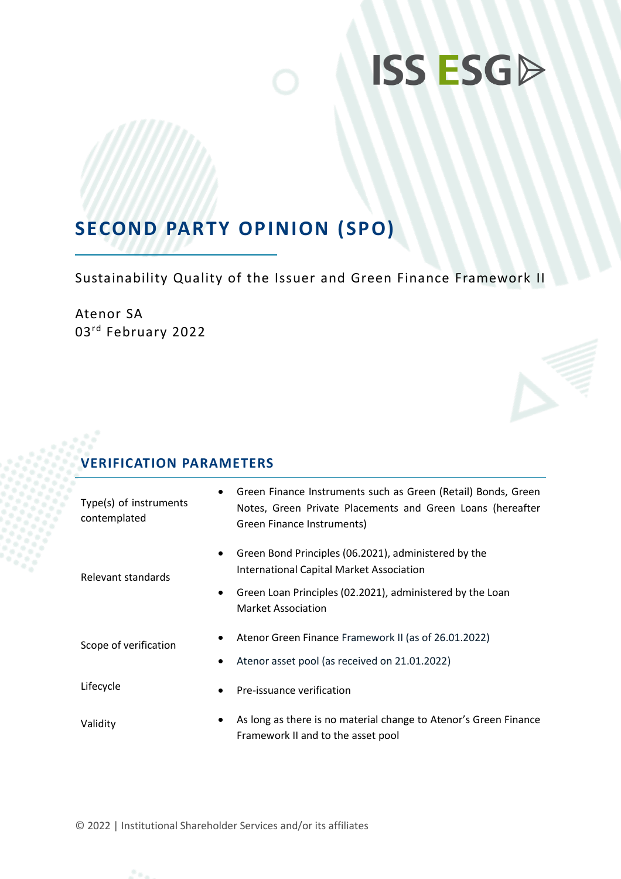# **ISS ESGD**

## **SECOND PARTY OPINION (SPO)**

Sustainability Quality of the Issuer and Green Finance Framework II

Atenor SA 03rd February 2022

## **VERIFICATION PARAMETERS**

| $\bullet$                       | Green Finance Instruments such as Green (Retail) Bonds, Green                                         |
|---------------------------------|-------------------------------------------------------------------------------------------------------|
| Type(s) of instruments          | Notes, Green Private Placements and Green Loans (hereafter                                            |
| contemplated                    | Green Finance Instruments)                                                                            |
| $\bullet$                       | Green Bond Principles (06.2021), administered by the                                                  |
| Relevant standards              | <b>International Capital Market Association</b>                                                       |
| $\bullet$                       | Green Loan Principles (02.2021), administered by the Loan<br>Market Association                       |
| ٠<br>Scope of verification<br>٠ | Atenor Green Finance Framework II (as of 26.01.2022)<br>Atenor asset pool (as received on 21.01.2022) |
| Lifecycle<br>$\bullet$          | Pre-issuance verification                                                                             |
| $\bullet$                       | As long as there is no material change to Atenor's Green Finance                                      |
| Validity                        | Framework II and to the asset pool                                                                    |

© 2022 | Institutional Shareholder Services and/or its affiliates

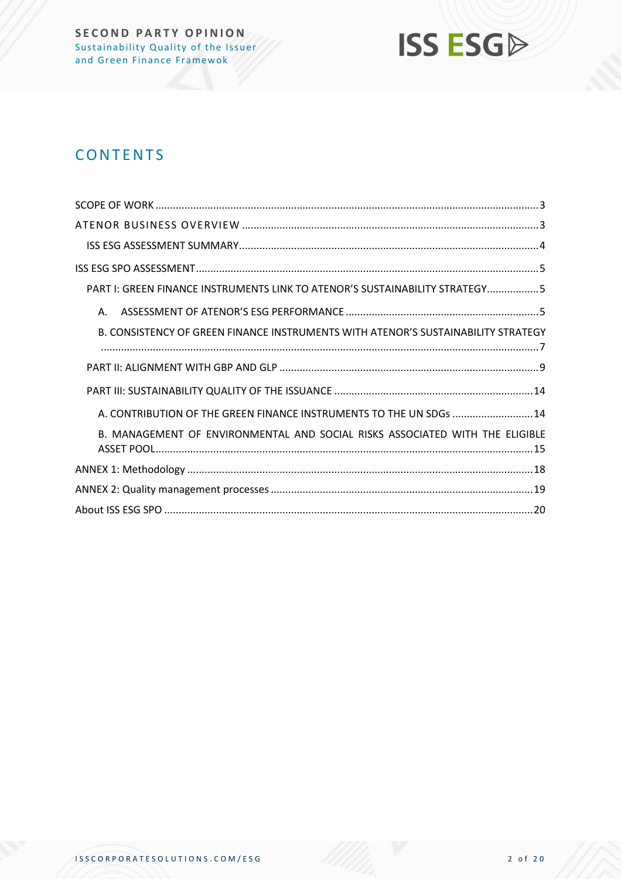

## **CONTENTS**

| PART I: GREEN FINANCE INSTRUMENTS LINK TO ATENOR'S SUSTAINABILITY STRATEGY5       |
|-----------------------------------------------------------------------------------|
| А.                                                                                |
| B. CONSISTENCY OF GREEN FINANCE INSTRUMENTS WITH ATENOR'S SUSTAINABILITY STRATEGY |
|                                                                                   |
|                                                                                   |
| A. CONTRIBUTION OF THE GREEN FINANCE INSTRUMENTS TO THE UN SDGs  14               |
| B. MANAGEMENT OF ENVIRONMENTAL AND SOCIAL RISKS ASSOCIATED WITH THE ELIGIBLE      |
|                                                                                   |
|                                                                                   |
|                                                                                   |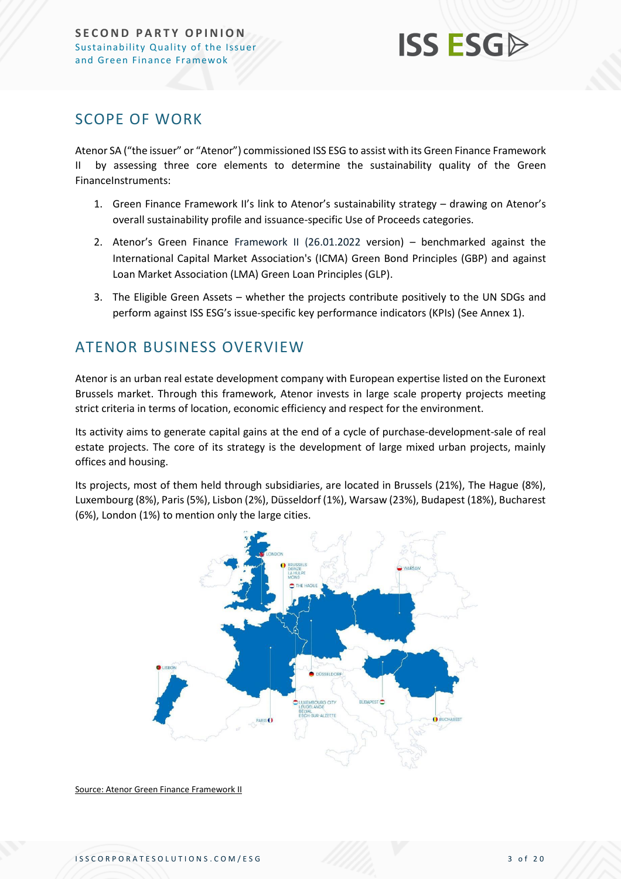

## <span id="page-2-0"></span>SCOPE OF WORK

Atenor SA ("the issuer" or "Atenor") commissioned ISS ESG to assist with its Green Finance Framework II by assessing three core elements to determine the sustainability quality of the Green FinanceInstruments:

- 1. Green Finance Framework II's link to Atenor's sustainability strategy drawing on Atenor's overall sustainability profile and issuance-specific Use of Proceeds categories.
- 2. Atenor's Green Finance Framework II (26.01.2022 version) benchmarked against the International Capital Market Association's (ICMA) Green Bond Principles (GBP) and against Loan Market Association (LMA) Green Loan Principles (GLP).
- 3. The Eligible Green Assets whether the projects contribute positively to the UN SDGs and perform against ISS ESG's issue-specific key performance indicators (KPIs) (See Annex 1).

## <span id="page-2-1"></span>ATENOR BUSINESS OVERVIEW

Atenor is an urban real estate development company with European expertise listed on the Euronext Brussels market. Through this framework, Atenor invests in large scale property projects meeting strict criteria in terms of location, economic efficiency and respect for the environment.

Its activity aims to generate capital gains at the end of a cycle of purchase-development-sale of real estate projects. The core of its strategy is the development of large mixed urban projects, mainly offices and housing.

Its projects, most of them held through subsidiaries, are located in Brussels (21%), The Hague (8%), Luxembourg (8%), Paris (5%), Lisbon (2%), Düsseldorf (1%), Warsaw (23%), Budapest (18%), Bucharest (6%), London (1%) to mention only the large cities.



Source: Atenor Green Finance Framework II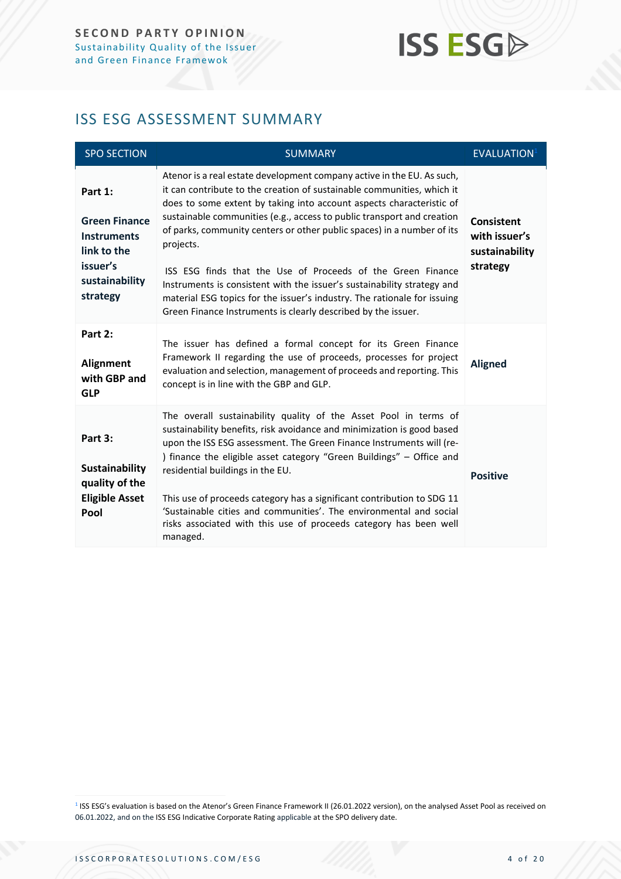## **ISS ESG**

## <span id="page-3-0"></span>ISS ESG ASSESSMENT SUMMARY

| <b>SPO SECTION</b>                                                                                             | <b>SUMMARY</b>                                                                                                                                                                                                                                                                                                                                                                                                                                                                                                                                                                                                                                                                   | EVALUATION <sup>1</sup>                                          |
|----------------------------------------------------------------------------------------------------------------|----------------------------------------------------------------------------------------------------------------------------------------------------------------------------------------------------------------------------------------------------------------------------------------------------------------------------------------------------------------------------------------------------------------------------------------------------------------------------------------------------------------------------------------------------------------------------------------------------------------------------------------------------------------------------------|------------------------------------------------------------------|
| Part 1:<br><b>Green Finance</b><br><b>Instruments</b><br>link to the<br>issuer's<br>sustainability<br>strategy | Atenor is a real estate development company active in the EU. As such,<br>it can contribute to the creation of sustainable communities, which it<br>does to some extent by taking into account aspects characteristic of<br>sustainable communities (e.g., access to public transport and creation<br>of parks, community centers or other public spaces) in a number of its<br>projects.<br>ISS ESG finds that the Use of Proceeds of the Green Finance<br>Instruments is consistent with the issuer's sustainability strategy and<br>material ESG topics for the issuer's industry. The rationale for issuing<br>Green Finance Instruments is clearly described by the issuer. | <b>Consistent</b><br>with issuer's<br>sustainability<br>strategy |
| Part 2:<br>Alignment<br>with GBP and<br><b>GLP</b>                                                             | The issuer has defined a formal concept for its Green Finance<br>Framework II regarding the use of proceeds, processes for project<br>evaluation and selection, management of proceeds and reporting. This<br>concept is in line with the GBP and GLP.                                                                                                                                                                                                                                                                                                                                                                                                                           | <b>Aligned</b>                                                   |
| Part 3:<br>Sustainability<br>quality of the<br><b>Eligible Asset</b><br>Pool                                   | The overall sustainability quality of the Asset Pool in terms of<br>sustainability benefits, risk avoidance and minimization is good based<br>upon the ISS ESG assessment. The Green Finance Instruments will (re-<br>) finance the eligible asset category "Green Buildings" - Office and<br>residential buildings in the EU.<br>This use of proceeds category has a significant contribution to SDG 11<br>'Sustainable cities and communities'. The environmental and social<br>risks associated with this use of proceeds category has been well<br>managed.                                                                                                                  | <b>Positive</b>                                                  |

<sup>1</sup> ISS ESG's evaluation is based on the Atenor's Green Finance Framework II (26.01.2022 version), on the analysed Asset Pool as received on 06.01.2022, and on the ISS ESG Indicative Corporate Rating applicable at the SPO delivery date.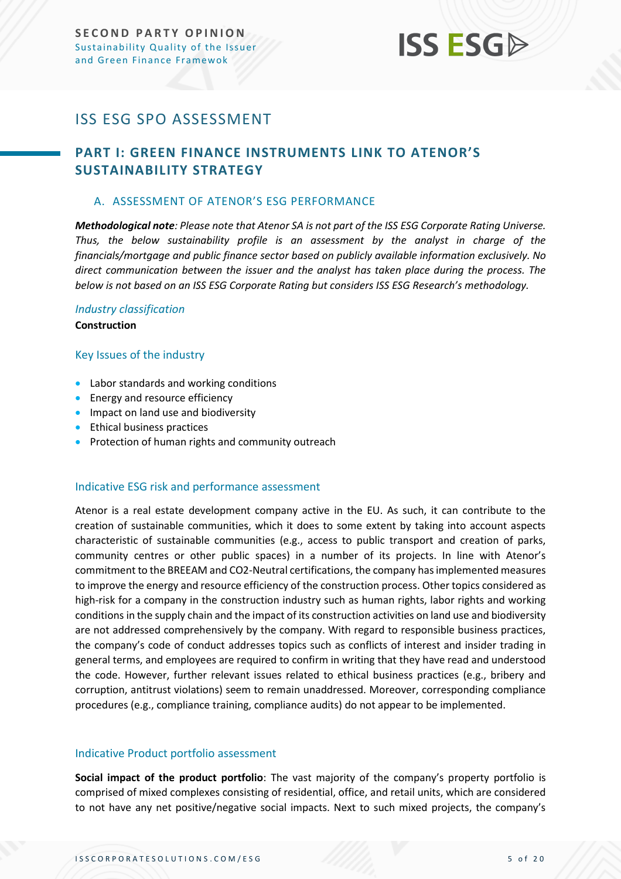## **ISS ESG**

## <span id="page-4-0"></span>ISS ESG SPO ASSESSMENT

### <span id="page-4-1"></span>**PART I: GREEN FINANCE INSTRUMENTS LINK TO ATENOR'S SUSTAINABILITY STRATEGY**

#### <span id="page-4-2"></span>A. ASSESSMENT OF ATENOR'S ESG PERFORMANCE

*Methodological note: Please note that Atenor SA is not part of the ISS ESG Corporate Rating Universe. Thus, the below sustainability profile is an assessment by the analyst in charge of the financials/mortgage and public finance sector based on publicly available information exclusively. No direct communication between the issuer and the analyst has taken place during the process. The below is not based on an ISS ESG Corporate Rating but considers ISS ESG Research's methodology.*

### *Industry classification*

**Construction**

#### Key Issues of the industry

- Labor standards and working conditions
- Energy and resource efficiency
- Impact on land use and biodiversity
- Ethical business practices
- Protection of human rights and community outreach

#### Indicative ESG risk and performance assessment

Atenor is a real estate development company active in the EU. As such, it can contribute to the creation of sustainable communities, which it does to some extent by taking into account aspects characteristic of sustainable communities (e.g., access to public transport and creation of parks, community centres or other public spaces) in a number of its projects. In line with Atenor's commitment to the BREEAM and CO2-Neutral certifications, the company has implemented measures to improve the energy and resource efficiency of the construction process. Other topics considered as high-risk for a company in the construction industry such as human rights, labor rights and working conditions in the supply chain and the impact of its construction activities on land use and biodiversity are not addressed comprehensively by the company. With regard to responsible business practices, the company's code of conduct addresses topics such as conflicts of interest and insider trading in general terms, and employees are required to confirm in writing that they have read and understood the code. However, further relevant issues related to ethical business practices (e.g., bribery and corruption, antitrust violations) seem to remain unaddressed. Moreover, corresponding compliance procedures (e.g., compliance training, compliance audits) do not appear to be implemented.

#### Indicative Product portfolio assessment

**Social impact of the product portfolio**: The vast majority of the company's property portfolio is comprised of mixed complexes consisting of residential, office, and retail units, which are considered to not have any net positive/negative social impacts. Next to such mixed projects, the company's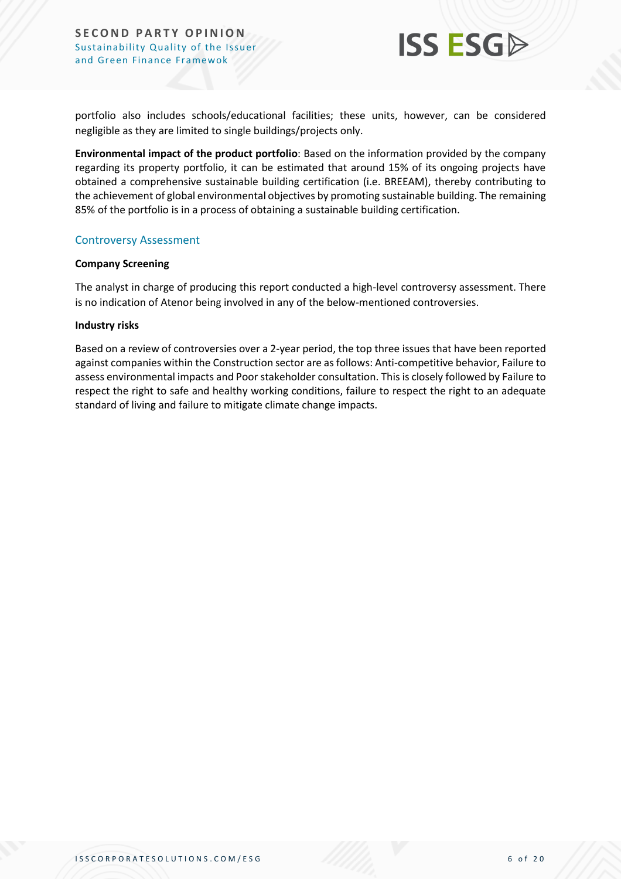

portfolio also includes schools/educational facilities; these units, however, can be considered negligible as they are limited to single buildings/projects only.

**Environmental impact of the product portfolio**: Based on the information provided by the company regarding its property portfolio, it can be estimated that around 15% of its ongoing projects have obtained a comprehensive sustainable building certification (i.e. BREEAM), thereby contributing to the achievement of global environmental objectives by promoting sustainable building. The remaining 85% of the portfolio is in a process of obtaining a sustainable building certification.

#### Controversy Assessment

#### **Company Screening**

The analyst in charge of producing this report conducted a high-level controversy assessment. There is no indication of Atenor being involved in any of the below-mentioned controversies.

#### **Industry risks**

Based on a review of controversies over a 2-year period, the top three issues that have been reported against companies within the Construction sector are as follows: Anti-competitive behavior, Failure to assess environmental impacts and Poor stakeholder consultation. This is closely followed by Failure to respect the right to safe and healthy working conditions, failure to respect the right to an adequate standard of living and failure to mitigate climate change impacts.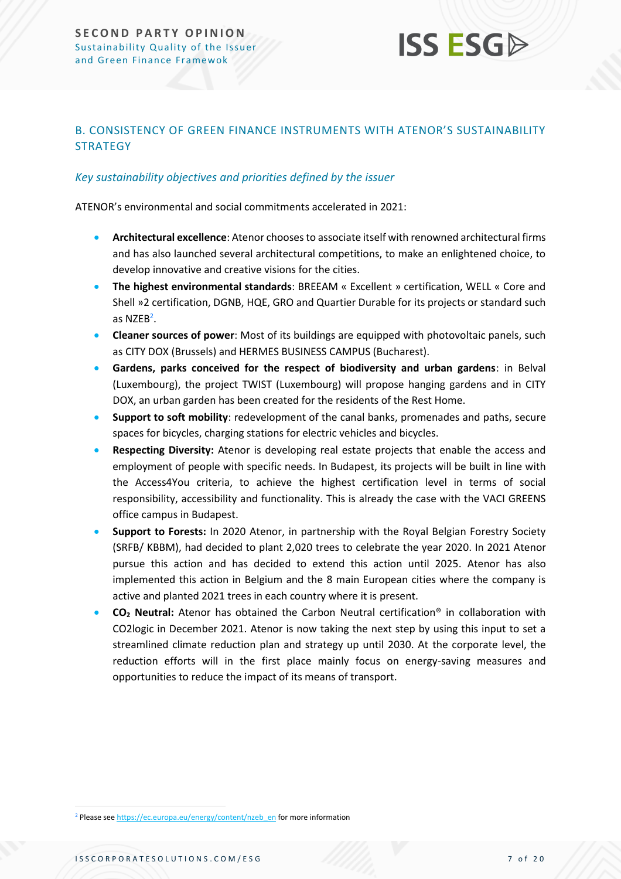## **ISS ESG**

#### <span id="page-6-0"></span>B. CONSISTENCY OF GREEN FINANCE INSTRUMENTS WITH ATENOR'S SUSTAINABILITY **STRATEGY**

#### *Key sustainability objectives and priorities defined by the issuer*

ATENOR's environmental and social commitments accelerated in 2021:

- **Architectural excellence**: Atenor chooses to associate itself with renowned architectural firms and has also launched several architectural competitions, to make an enlightened choice, to develop innovative and creative visions for the cities.
- **The highest environmental standards**: BREEAM « Excellent » certification, WELL « Core and Shell »2 certification, DGNB, HQE, GRO and Quartier Durable for its projects or standard such as NZEB<sup>2</sup>.
- **Cleaner sources of power**: Most of its buildings are equipped with photovoltaic panels, such as CITY DOX (Brussels) and HERMES BUSINESS CAMPUS (Bucharest).
- **Gardens, parks conceived for the respect of biodiversity and urban gardens**: in Belval (Luxembourg), the project TWIST (Luxembourg) will propose hanging gardens and in CITY DOX, an urban garden has been created for the residents of the Rest Home.
- **Support to soft mobility**: redevelopment of the canal banks, promenades and paths, secure spaces for bicycles, charging stations for electric vehicles and bicycles.
- **Respecting Diversity:** Atenor is developing real estate projects that enable the access and employment of people with specific needs. In Budapest, its projects will be built in line with the Access4You criteria, to achieve the highest certification level in terms of social responsibility, accessibility and functionality. This is already the case with the VACI GREENS office campus in Budapest.
- **Support to Forests:** In 2020 Atenor, in partnership with the Royal Belgian Forestry Society (SRFB/ KBBM), had decided to plant 2,020 trees to celebrate the year 2020. In 2021 Atenor pursue this action and has decided to extend this action until 2025. Atenor has also implemented this action in Belgium and the 8 main European cities where the company is active and planted 2021 trees in each country where it is present.
- **CO<sup>2</sup> Neutral:** Atenor has obtained the Carbon Neutral certification® in collaboration with CO2logic in December 2021. Atenor is now taking the next step by using this input to set a streamlined climate reduction plan and strategy up until 2030. At the corporate level, the reduction efforts will in the first place mainly focus on energy-saving measures and opportunities to reduce the impact of its means of transport.

<sup>2</sup> Please se[e https://ec.europa.eu/energy/content/nzeb\\_en](https://ec.europa.eu/energy/content/nzeb_en) for more information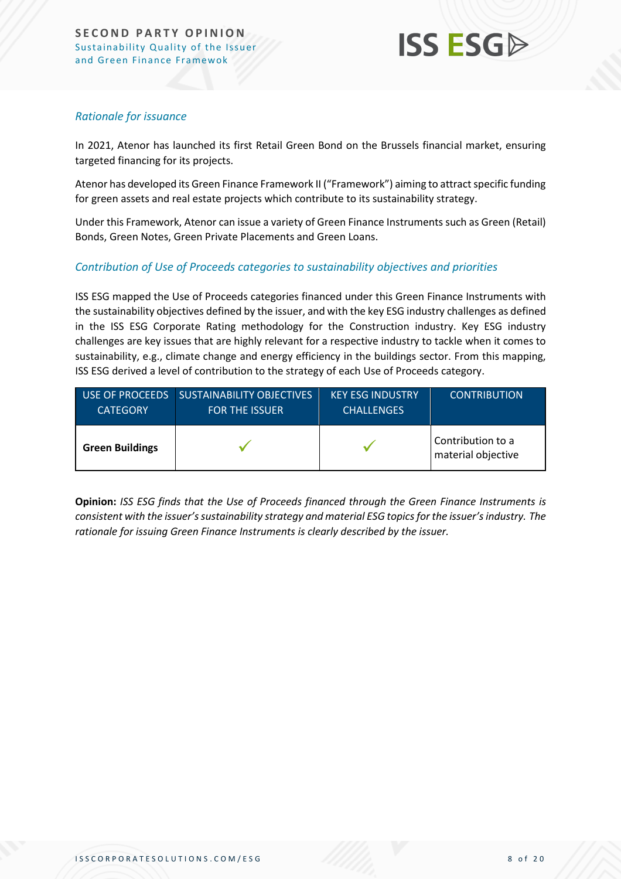

#### *Rationale for issuance*

In 2021, Atenor has launched its first Retail Green Bond on the Brussels financial market, ensuring targeted financing for its projects.

Atenor has developed its Green Finance Framework II ("Framework") aiming to attract specific funding for green assets and real estate projects which contribute to its sustainability strategy.

Under this Framework, Atenor can issue a variety of Green Finance Instruments such as Green (Retail) Bonds, Green Notes, Green Private Placements and Green Loans.

#### *Contribution of Use of Proceeds categories to sustainability objectives and priorities*

ISS ESG mapped the Use of Proceeds categories financed under this Green Finance Instruments with the sustainability objectives defined by the issuer, and with the key ESG industry challenges as defined in the ISS ESG Corporate Rating methodology for the Construction industry. Key ESG industry challenges are key issues that are highly relevant for a respective industry to tackle when it comes to sustainability, e.g., climate change and energy efficiency in the buildings sector. From this mapping, ISS ESG derived a level of contribution to the strategy of each Use of Proceeds category.

| USE OF PROCEEDS        | <b>SUSTAINABILITY OBJECTIVES</b> | <b>KEY ESG INDUSTRY</b> | <b>CONTRIBUTION</b>                     |
|------------------------|----------------------------------|-------------------------|-----------------------------------------|
| <b>CATEGORY</b>        | <b>FOR THE ISSUER</b>            | <b>CHALLENGES</b>       |                                         |
| <b>Green Buildings</b> |                                  |                         | Contribution to a<br>material objective |

**Opinion:** *ISS ESG finds that the Use of Proceeds financed through the Green Finance Instruments is consistent with the issuer's sustainability strategy and material ESG topics for the issuer's industry. The rationale for issuing Green Finance Instruments is clearly described by the issuer.*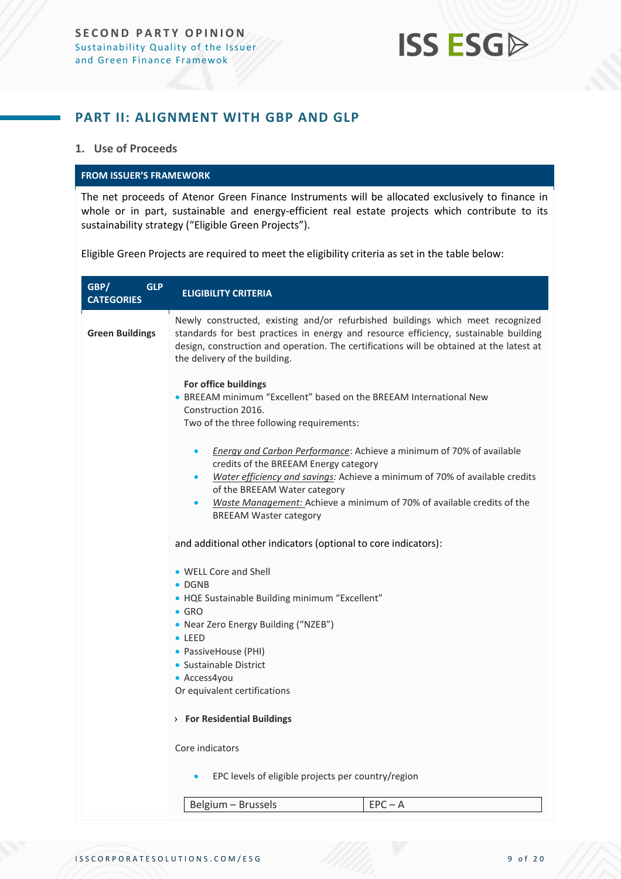## **ISS ESGA**

### <span id="page-8-0"></span>**PART II: ALIGNMENT WITH GBP AND GLP**

#### **1. Use of Proceeds**

#### **FROM ISSUER'S FRAMEWORK**

The net proceeds of Atenor Green Finance Instruments will be allocated exclusively to finance in whole or in part, sustainable and energy-efficient real estate projects which contribute to its sustainability strategy ("Eligible Green Projects").

Eligible Green Projects are required to meet the eligibility criteria as set in the table below:

| GBP/<br><b>GLP</b><br><b>CATEGORIES</b> | <b>ELIGIBILITY CRITERIA</b>                                                                                                                                                                                                                                                                                                      |  |  |
|-----------------------------------------|----------------------------------------------------------------------------------------------------------------------------------------------------------------------------------------------------------------------------------------------------------------------------------------------------------------------------------|--|--|
| <b>Green Buildings</b>                  | Newly constructed, existing and/or refurbished buildings which meet recognized<br>standards for best practices in energy and resource efficiency, sustainable building<br>design, construction and operation. The certifications will be obtained at the latest at<br>the delivery of the building.                              |  |  |
|                                         | For office buildings<br>• BREEAM minimum "Excellent" based on the BREEAM International New<br>Construction 2016.<br>Two of the three following requirements:                                                                                                                                                                     |  |  |
|                                         | Energy and Carbon Performance: Achieve a minimum of 70% of available<br>$\bullet$<br>credits of the BREEAM Energy category<br>Water efficiency and savings: Achieve a minimum of 70% of available credits<br>of the BREEAM Water category<br>Waste Management: Achieve a minimum of 70% of available credits of the<br>$\bullet$ |  |  |
|                                         | <b>BREEAM Waster category</b><br>and additional other indicators (optional to core indicators):<br>• WELL Core and Shell                                                                                                                                                                                                         |  |  |
|                                         | $\bullet$ DGNB<br>• HQE Sustainable Building minimum "Excellent"<br>$\bullet$ GRO<br>• Near Zero Energy Building ("NZEB")                                                                                                                                                                                                        |  |  |
|                                         | $\bullet$ LEED<br>• PassiveHouse (PHI)<br>• Sustainable District<br>• Access4you                                                                                                                                                                                                                                                 |  |  |
|                                         | Or equivalent certifications<br>> For Residential Buildings                                                                                                                                                                                                                                                                      |  |  |
|                                         | Core indicators                                                                                                                                                                                                                                                                                                                  |  |  |
|                                         | EPC levels of eligible projects per country/region                                                                                                                                                                                                                                                                               |  |  |
|                                         | Belgium - Brussels<br>$EPC - A$                                                                                                                                                                                                                                                                                                  |  |  |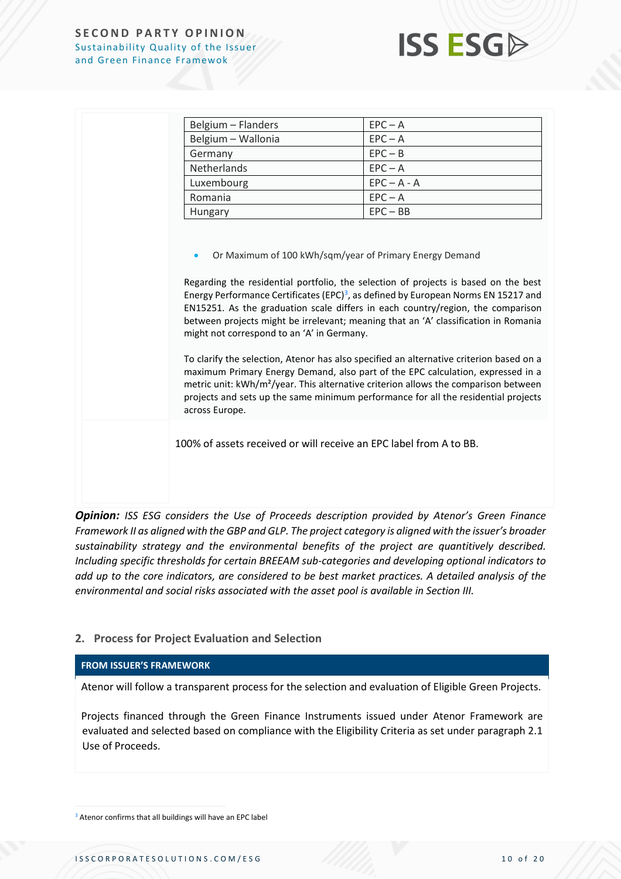

| Belgium – Flanders                                                                                                                                                                                                                                                                                                                                                                                                                                                                                                                                                                                                                                                                                                                                                                                     | $EPC - A$     |  |
|--------------------------------------------------------------------------------------------------------------------------------------------------------------------------------------------------------------------------------------------------------------------------------------------------------------------------------------------------------------------------------------------------------------------------------------------------------------------------------------------------------------------------------------------------------------------------------------------------------------------------------------------------------------------------------------------------------------------------------------------------------------------------------------------------------|---------------|--|
| Belgium - Wallonia                                                                                                                                                                                                                                                                                                                                                                                                                                                                                                                                                                                                                                                                                                                                                                                     | $EPC - A$     |  |
| Germany                                                                                                                                                                                                                                                                                                                                                                                                                                                                                                                                                                                                                                                                                                                                                                                                | $EPC - B$     |  |
| <b>Netherlands</b>                                                                                                                                                                                                                                                                                                                                                                                                                                                                                                                                                                                                                                                                                                                                                                                     | $EPC - A$     |  |
| Luxembourg                                                                                                                                                                                                                                                                                                                                                                                                                                                                                                                                                                                                                                                                                                                                                                                             | $EPC - A - A$ |  |
| Romania                                                                                                                                                                                                                                                                                                                                                                                                                                                                                                                                                                                                                                                                                                                                                                                                | $EPC - A$     |  |
| Hungary                                                                                                                                                                                                                                                                                                                                                                                                                                                                                                                                                                                                                                                                                                                                                                                                | $EPC - BB$    |  |
| Regarding the residential portfolio, the selection of projects is based on the best<br>Energy Performance Certificates (EPC) <sup>3</sup> , as defined by European Norms EN 15217 and<br>EN15251. As the graduation scale differs in each country/region, the comparison<br>between projects might be irrelevant; meaning that an 'A' classification in Romania<br>might not correspond to an 'A' in Germany.<br>To clarify the selection, Atenor has also specified an alternative criterion based on a<br>maximum Primary Energy Demand, also part of the EPC calculation, expressed in a<br>metric unit: kWh/m <sup>2</sup> /year. This alternative criterion allows the comparison between<br>projects and sets up the same minimum performance for all the residential projects<br>across Europe. |               |  |
| 100% of assets received or will receive an EPC label from A to BB.                                                                                                                                                                                                                                                                                                                                                                                                                                                                                                                                                                                                                                                                                                                                     |               |  |

*Opinion: ISS ESG considers the Use of Proceeds description provided by Atenor's Green Finance Framework II as aligned with the GBP and GLP. The project category is aligned with the issuer's broader sustainability strategy and the environmental benefits of the project are quantitively described. Including specific thresholds for certain BREEAM sub-categories and developing optional indicators to add up to the core indicators, are considered to be best market practices. A detailed analysis of the environmental and social risks associated with the asset pool is available in Section III.*

#### **2. Process for Project Evaluation and Selection**

#### **FROM ISSUER'S FRAMEWORK**

Atenor will follow a transparent process for the selection and evaluation of Eligible Green Projects.

Projects financed through the Green Finance Instruments issued under Atenor Framework are evaluated and selected based on compliance with the Eligibility Criteria as set under paragraph 2.1 Use of Proceeds.

<sup>3</sup> Atenor confirms that all buildings will have an EPC label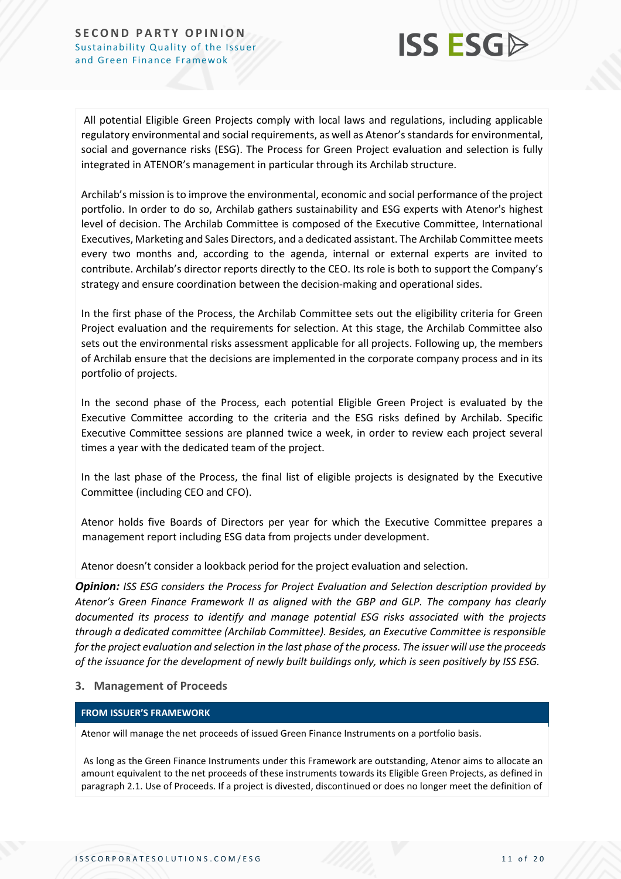

All potential Eligible Green Projects comply with local laws and regulations, including applicable regulatory environmental and social requirements, as well as Atenor's standards for environmental, social and governance risks (ESG). The Process for Green Project evaluation and selection is fully integrated in ATENOR's management in particular through its Archilab structure.

Archilab's mission is to improve the environmental, economic and social performance of the project portfolio. In order to do so, Archilab gathers sustainability and ESG experts with Atenor's highest level of decision. The Archilab Committee is composed of the Executive Committee, International Executives, Marketing and Sales Directors, and a dedicated assistant. The Archilab Committee meets every two months and, according to the agenda, internal or external experts are invited to contribute. Archilab's director reports directly to the CEO. Its role is both to support the Company's strategy and ensure coordination between the decision-making and operational sides.

In the first phase of the Process, the Archilab Committee sets out the eligibility criteria for Green Project evaluation and the requirements for selection. At this stage, the Archilab Committee also sets out the environmental risks assessment applicable for all projects. Following up, the members of Archilab ensure that the decisions are implemented in the corporate company process and in its portfolio of projects.

In the second phase of the Process, each potential Eligible Green Project is evaluated by the Executive Committee according to the criteria and the ESG risks defined by Archilab. Specific Executive Committee sessions are planned twice a week, in order to review each project several times a year with the dedicated team of the project.

In the last phase of the Process, the final list of eligible projects is designated by the Executive Committee (including CEO and CFO).

Atenor holds five Boards of Directors per year for which the Executive Committee prepares a management report including ESG data from projects under development.

Atenor doesn't consider a lookback period for the project evaluation and selection.

*Opinion: ISS ESG considers the Process for Project Evaluation and Selection description provided by Atenor's Green Finance Framework II as aligned with the GBP and GLP. The company has clearly documented its process to identify and manage potential ESG risks associated with the projects through a dedicated committee (Archilab Committee). Besides, an Executive Committee is responsible for the project evaluation and selection in the last phase of the process. The issuer will use the proceeds of the issuance for the development of newly built buildings only, which is seen positively by ISS ESG.*

#### **3. Management of Proceeds**

#### **FROM ISSUER'S FRAMEWORK**

Atenor will manage the net proceeds of issued Green Finance Instruments on a portfolio basis.

As long as the Green Finance Instruments under this Framework are outstanding, Atenor aims to allocate an amount equivalent to the net proceeds of these instruments towards its Eligible Green Projects, as defined in paragraph 2.1. Use of Proceeds. If a project is divested, discontinued or does no longer meet the definition of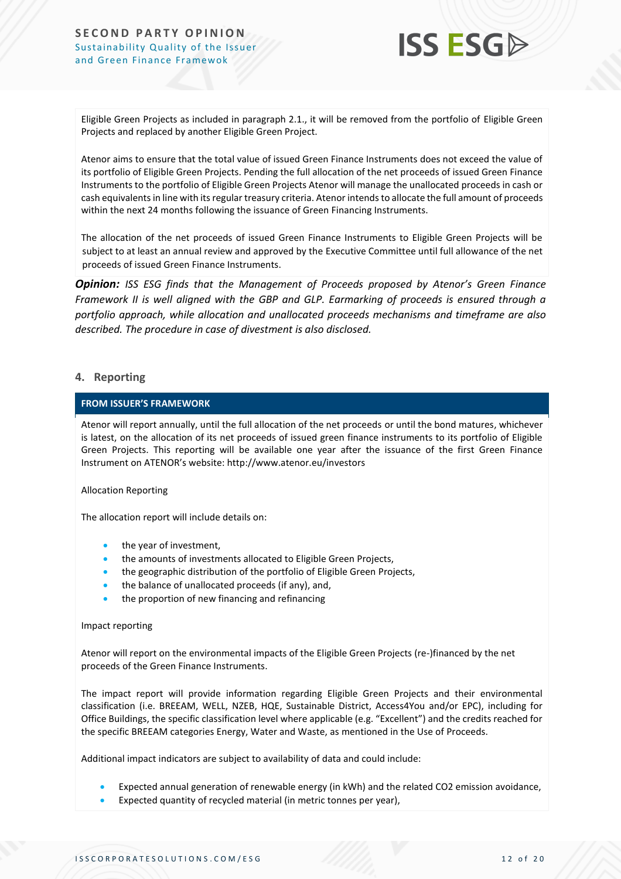

Eligible Green Projects as included in paragraph 2.1., it will be removed from the portfolio of Eligible Green Projects and replaced by another Eligible Green Project.

Atenor aims to ensure that the total value of issued Green Finance Instruments does not exceed the value of its portfolio of Eligible Green Projects. Pending the full allocation of the net proceeds of issued Green Finance Instruments to the portfolio of Eligible Green Projects Atenor will manage the unallocated proceeds in cash or cash equivalents in line with its regular treasury criteria. Atenor intends to allocate the full amount of proceeds within the next 24 months following the issuance of Green Financing Instruments.

The allocation of the net proceeds of issued Green Finance Instruments to Eligible Green Projects will be subject to at least an annual review and approved by the Executive Committee until full allowance of the net proceeds of issued Green Finance Instruments.

*Opinion: ISS ESG finds that the Management of Proceeds proposed by Atenor's Green Finance Framework II is well aligned with the GBP and GLP. Earmarking of proceeds is ensured through a portfolio approach, while allocation and unallocated proceeds mechanisms and timeframe are also described. The procedure in case of divestment is also disclosed.*

#### **4. Reporting**

#### **FROM ISSUER'S FRAMEWORK**

Atenor will report annually, until the full allocation of the net proceeds or until the bond matures, whichever is latest, on the allocation of its net proceeds of issued green finance instruments to its portfolio of Eligible Green Projects. This reporting will be available one year after the issuance of the first Green Finance Instrument on ATENOR's website: http://www.atenor.eu/investors

#### Allocation Reporting

The allocation report will include details on:

- the year of investment,
- the amounts of investments allocated to Eligible Green Projects,
- the geographic distribution of the portfolio of Eligible Green Projects,
- the balance of unallocated proceeds (if any), and,
- the proportion of new financing and refinancing

#### Impact reporting

Atenor will report on the environmental impacts of the Eligible Green Projects (re-)financed by the net proceeds of the Green Finance Instruments.

The impact report will provide information regarding Eligible Green Projects and their environmental classification (i.e. BREEAM, WELL, NZEB, HQE, Sustainable District, Access4You and/or EPC), including for Office Buildings, the specific classification level where applicable (e.g. "Excellent") and the credits reached for the specific BREEAM categories Energy, Water and Waste, as mentioned in the Use of Proceeds.

Additional impact indicators are subject to availability of data and could include:

- Expected annual generation of renewable energy (in kWh) and the related CO2 emission avoidance,
- Expected quantity of recycled material (in metric tonnes per year),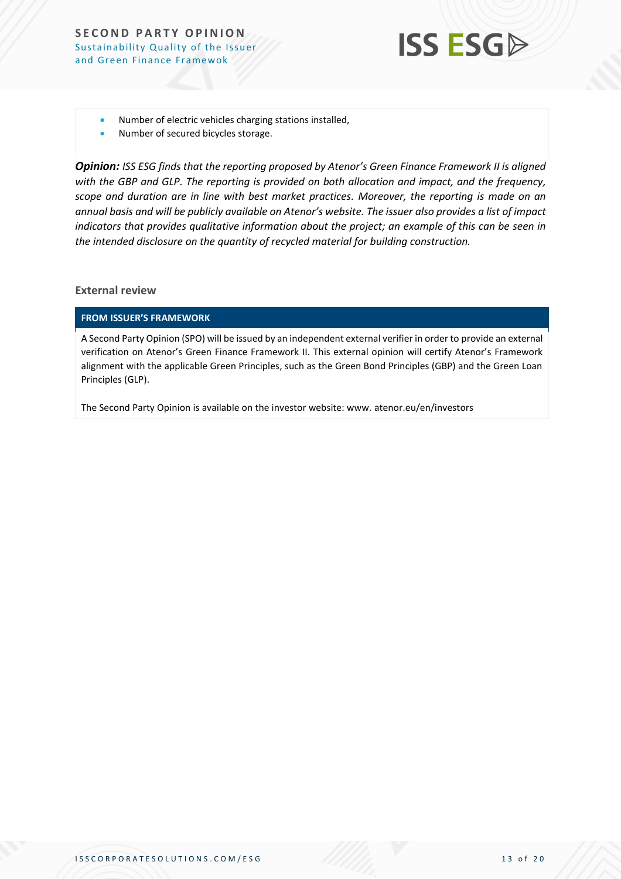

- Number of electric vehicles charging stations installed,
- Number of secured bicycles storage.

*Opinion: ISS ESG finds that the reporting proposed by Atenor's Green Finance Framework II is aligned with the GBP and GLP. The reporting is provided on both allocation and impact, and the frequency, scope and duration are in line with best market practices. Moreover, the reporting is made on an annual basis and will be publicly available on Atenor's website. The issuer also provides a list of impact indicators that provides qualitative information about the project; an example of this can be seen in the intended disclosure on the quantity of recycled material for building construction.*

#### **External review**

#### **FROM ISSUER'S FRAMEWORK**

A Second Party Opinion (SPO) will be issued by an independent external verifier in order to provide an external verification on Atenor's Green Finance Framework II. This external opinion will certify Atenor's Framework alignment with the applicable Green Principles, such as the Green Bond Principles (GBP) and the Green Loan Principles (GLP).

The Second Party Opinion is available on the investor website: www. atenor.eu/en/investors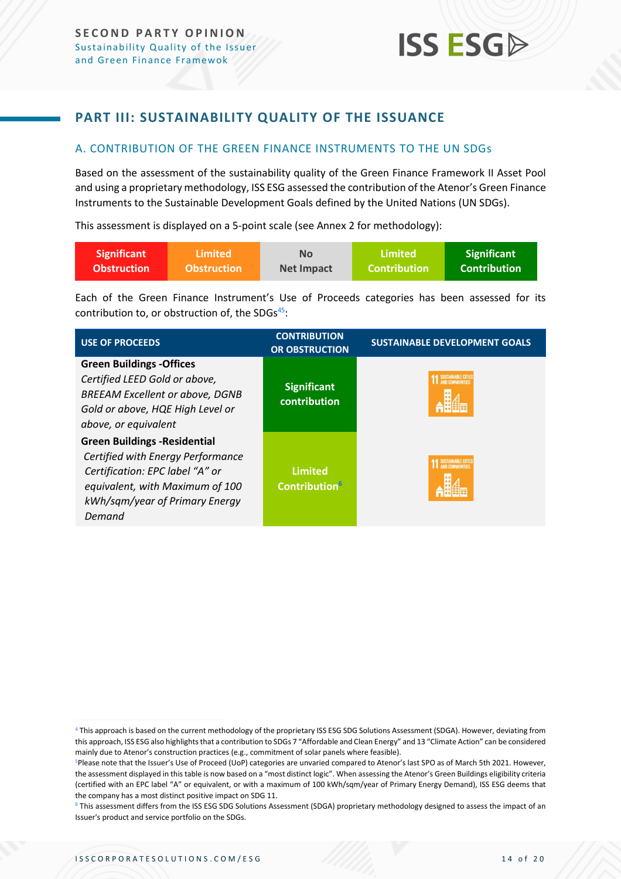### <span id="page-13-0"></span>**PART III: SUSTAINABILITY QUALITY OF THE ISSUANCE**

#### <span id="page-13-1"></span>A. CONTRIBUTION OF THE GREEN FINANCE INSTRUMENTS TO THE UN SDGs

Based on the assessment of the sustainability quality of the Green Finance Framework II Asset Pool and using a proprietary methodology, ISS ESG assessed the contribution of the Atenor's Green Finance Instruments to the Sustainable Development Goals defined by the United Nations (UN SDGs).

This assessment is displayed on a 5-point scale (see Annex 2 for methodology):

| <b>Significant</b> | ا Limited             | <b>No</b>         | Limited             | Significant         |
|--------------------|-----------------------|-------------------|---------------------|---------------------|
| <b>Obstruction</b> | <b>\Obstruction</b> \ | <b>Net Impact</b> | <b>Contribution</b> | <b>Contribution</b> |

Each of the Green Finance Instrument's Use of Proceeds categories has been assessed for its contribution to, or obstruction of, the SDGs $45$ :

| <b>USE OF PROCEEDS</b>                                                                                                                                                                      | <b>CONTRIBUTION</b><br><b>OR OBSTRUCTION</b>       | <b>SUSTAINABLE DEVELOPMENT GOALS</b> |
|---------------------------------------------------------------------------------------------------------------------------------------------------------------------------------------------|----------------------------------------------------|--------------------------------------|
| <b>Green Buildings -Offices</b><br>Certified LEED Gold or above,<br><b>BREEAM Excellent or above, DGNB</b><br>Gold or above, HQE High Level or<br>above, or equivalent                      | <b>Significant</b><br>contribution                 | <b>SUSTAINABLE CITIE</b>             |
| <b>Green Buildings - Residential</b><br>Certified with Energy Performance<br>Certification: EPC label "A" or<br>equivalent, with Maximum of 100<br>kWh/sqm/year of Primary Energy<br>Demand | <b>Limited</b><br><b>Contribution</b> <sup>6</sup> | <b><i>SUSTAINARLE CITIE</i></b>      |

<sup>4</sup> This approach is based on the current methodology of the proprietary ISS ESG SDG Solutions Assessment (SDGA). However, deviating from this approach, ISS ESG also highlights that a contribution to SDGs 7 "Affordable and Clean Energy" and 13 "Climate Action" can be considered mainly due to Atenor's construction practices (e.g., commitment of solar panels where feasible).

<sup>6</sup> This assessment differs from the ISS ESG SDG Solutions Assessment (SDGA) proprietary methodology designed to assess the impact of an Issuer's product and service portfolio on the SDGs.

<sup>5</sup>Please note that the Issuer's Use of Proceed (UoP) categories are unvaried compared to Atenor's last SPO as of March 5th 2021. However, the assessment displayed in this table is now based on a "most distinct logic". When assessing the Atenor's Green Buildings eligibility criteria (certified with an EPC label "A" or equivalent, or with a maximum of 100 kWh/sqm/year of Primary Energy Demand), ISS ESG deems that the company has a most distinct positive impact on SDG 11.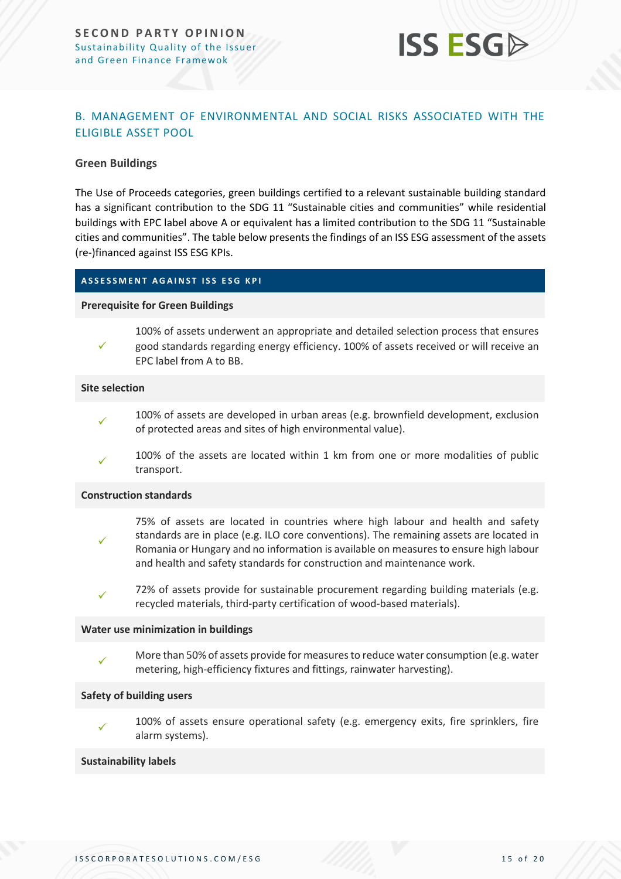

#### <span id="page-14-0"></span>B. MANAGEMENT OF ENVIRONMENTAL AND SOCIAL RISKS ASSOCIATED WITH THE ELIGIBLE ASSET POOL

#### **Green Buildings**

The Use of Proceeds categories, green buildings certified to a relevant sustainable building standard has a significant contribution to the SDG 11 "Sustainable cities and communities" while residential buildings with EPC label above A or equivalent has a limited contribution to the SDG 11 "Sustainable cities and communities". The table below presents the findings of an ISS ESG assessment of the assets (re-)financed against ISS ESG KPIs.

#### **A S S E S S M E N T A G A I N S T I S S E S G K P I**

#### **Prerequisite for Green Buildings**

✓ 100% of assets underwent an appropriate and detailed selection process that ensures good standards regarding energy efficiency. 100% of assets received or will receive an EPC label from A to BB.

#### **Site selection**

- ✓ 100% of assets are developed in urban areas (e.g. brownfield development, exclusion of protected areas and sites of high environmental value).
- ✓ 100% of the assets are located within 1 km from one or more modalities of public transport.

#### **Construction standards**

- ✓ 75% of assets are located in countries where high labour and health and safety standards are in place (e.g. ILO core conventions). The remaining assets are located in Romania or Hungary and no information is available on measures to ensure high labour and health and safety standards for construction and maintenance work.
- ✓ 72% of assets provide for sustainable procurement regarding building materials (e.g. recycled materials, third-party certification of wood-based materials).

#### **Water use minimization in buildings**

✓ More than 50% of assets provide for measures to reduce water consumption (e.g. water metering, high-efficiency fixtures and fittings, rainwater harvesting).

#### **Safety of building users**

✓ 100% of assets ensure operational safety (e.g. emergency exits, fire sprinklers, fire alarm systems).

#### **Sustainability labels**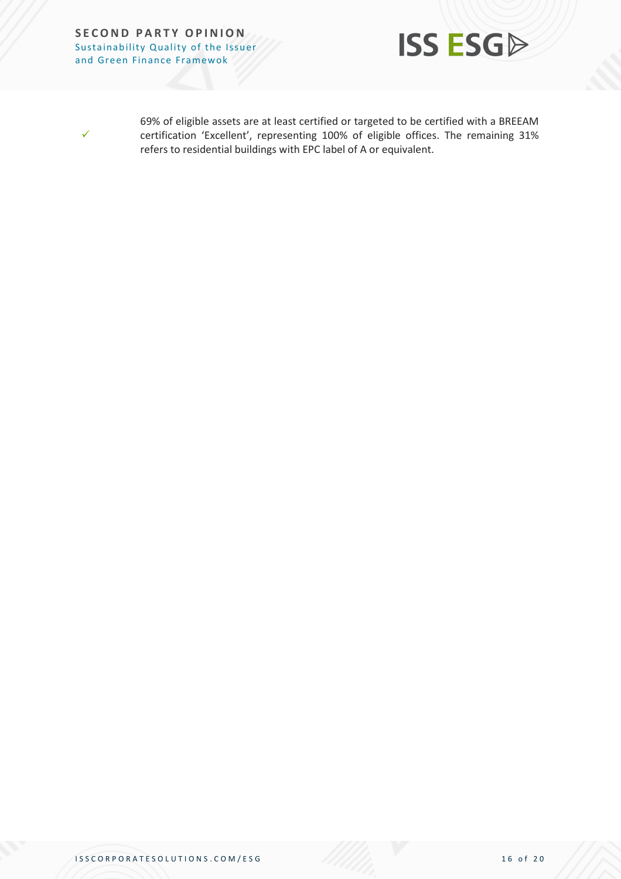



69% of eligible assets are at least certified or targeted to be certified with a BREEAM certification 'Excellent', representing 100% of eligible offices. The remaining 31% refers to residential buildings with EPC label of A or equivalent.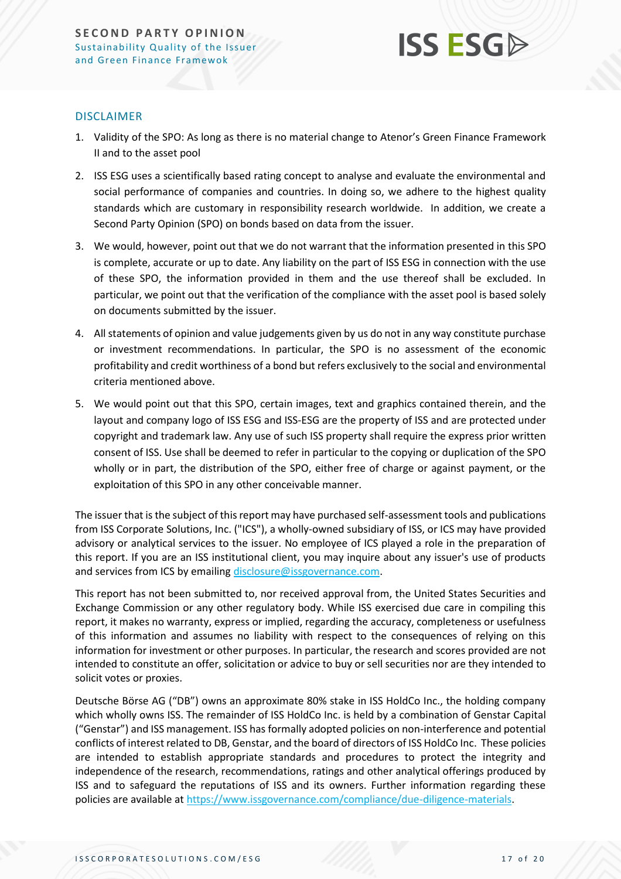

#### DISCLAIMER

- 1. Validity of the SPO: As long as there is no material change to Atenor's Green Finance Framework II and to the asset pool
- 2. ISS ESG uses a scientifically based rating concept to analyse and evaluate the environmental and social performance of companies and countries. In doing so, we adhere to the highest quality standards which are customary in responsibility research worldwide. In addition, we create a Second Party Opinion (SPO) on bonds based on data from the issuer.
- 3. We would, however, point out that we do not warrant that the information presented in this SPO is complete, accurate or up to date. Any liability on the part of ISS ESG in connection with the use of these SPO, the information provided in them and the use thereof shall be excluded. In particular, we point out that the verification of the compliance with the asset pool is based solely on documents submitted by the issuer.
- 4. All statements of opinion and value judgements given by us do not in any way constitute purchase or investment recommendations. In particular, the SPO is no assessment of the economic profitability and credit worthiness of a bond but refers exclusively to the social and environmental criteria mentioned above.
- 5. We would point out that this SPO, certain images, text and graphics contained therein, and the layout and company logo of ISS ESG and ISS-ESG are the property of ISS and are protected under copyright and trademark law. Any use of such ISS property shall require the express prior written consent of ISS. Use shall be deemed to refer in particular to the copying or duplication of the SPO wholly or in part, the distribution of the SPO, either free of charge or against payment, or the exploitation of this SPO in any other conceivable manner.

The issuer that is the subject of this report may have purchased self-assessment tools and publications from ISS Corporate Solutions, Inc. ("ICS"), a wholly-owned subsidiary of ISS, or ICS may have provided advisory or analytical services to the issuer. No employee of ICS played a role in the preparation of this report. If you are an ISS institutional client, you may inquire about any issuer's use of products and services from ICS by emailin[g disclosure@issgovernance.com.](mailto:disclosure@issgovernance.com)

This report has not been submitted to, nor received approval from, the United States Securities and Exchange Commission or any other regulatory body. While ISS exercised due care in compiling this report, it makes no warranty, express or implied, regarding the accuracy, completeness or usefulness of this information and assumes no liability with respect to the consequences of relying on this information for investment or other purposes. In particular, the research and scores provided are not intended to constitute an offer, solicitation or advice to buy or sell securities nor are they intended to solicit votes or proxies.

Deutsche Börse AG ("DB") owns an approximate 80% stake in ISS HoldCo Inc., the holding company which wholly owns ISS. The remainder of ISS HoldCo Inc. is held by a combination of Genstar Capital ("Genstar") and ISS management. ISS has formally adopted policies on non-interference and potential conflicts of interest related to DB, Genstar, and the board of directors of ISS HoldCo Inc. These policies are intended to establish appropriate standards and procedures to protect the integrity and independence of the research, recommendations, ratings and other analytical offerings produced by ISS and to safeguard the reputations of ISS and its owners. Further information regarding these policies are available a[t https://www.issgovernance.com/compliance/due-diligence-materials.](https://www.issgovernance.com/compliance/due-diligence-materials)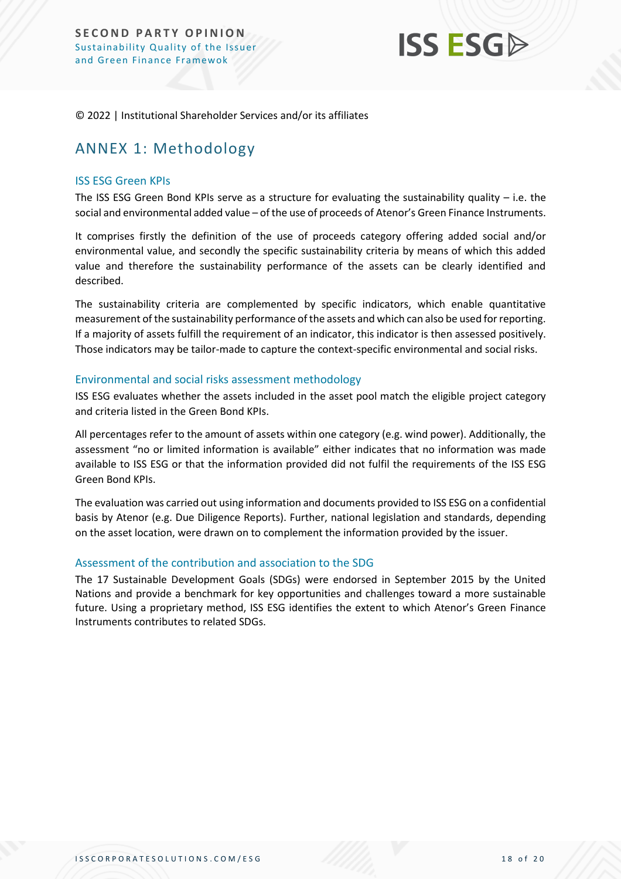

© 2022 | Institutional Shareholder Services and/or its affiliates

## <span id="page-17-0"></span>ANNEX 1: Methodology

#### ISS ESG Green KPIs

The ISS ESG Green Bond KPIs serve as a structure for evaluating the sustainability quality – i.e. the social and environmental added value – of the use of proceeds of Atenor's Green Finance Instruments.

It comprises firstly the definition of the use of proceeds category offering added social and/or environmental value, and secondly the specific sustainability criteria by means of which this added value and therefore the sustainability performance of the assets can be clearly identified and described.

The sustainability criteria are complemented by specific indicators, which enable quantitative measurement of the sustainability performance of the assets and which can also be used for reporting. If a majority of assets fulfill the requirement of an indicator, this indicator is then assessed positively. Those indicators may be tailor-made to capture the context-specific environmental and social risks.

#### Environmental and social risks assessment methodology

ISS ESG evaluates whether the assets included in the asset pool match the eligible project category and criteria listed in the Green Bond KPIs.

All percentages refer to the amount of assets within one category (e.g. wind power). Additionally, the assessment "no or limited information is available" either indicates that no information was made available to ISS ESG or that the information provided did not fulfil the requirements of the ISS ESG Green Bond KPIs.

The evaluation was carried out using information and documents provided to ISS ESG on a confidential basis by Atenor (e.g. Due Diligence Reports). Further, national legislation and standards, depending on the asset location, were drawn on to complement the information provided by the issuer.

#### Assessment of the contribution and association to the SDG

The 17 Sustainable Development Goals (SDGs) were endorsed in September 2015 by the United Nations and provide a benchmark for key opportunities and challenges toward a more sustainable future. Using a proprietary method, ISS ESG identifies the extent to which Atenor's Green Finance Instruments contributes to related SDGs.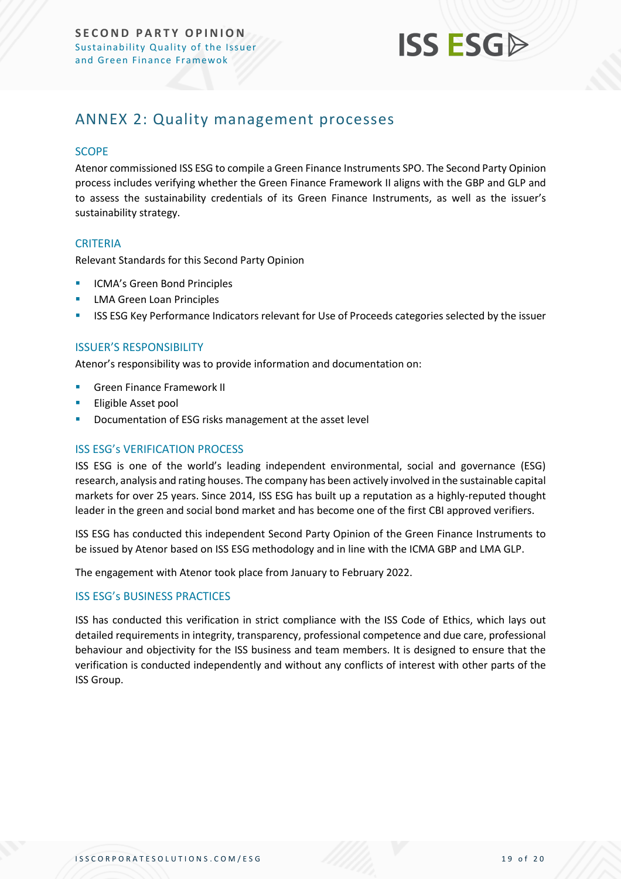

## <span id="page-18-0"></span>ANNEX 2: Quality management processes

#### **SCOPE**

Atenor commissioned ISS ESG to compile a Green Finance Instruments SPO. The Second Party Opinion process includes verifying whether the Green Finance Framework II aligns with the GBP and GLP and to assess the sustainability credentials of its Green Finance Instruments, as well as the issuer's sustainability strategy.

#### **CRITERIA**

Relevant Standards for this Second Party Opinion

- **ICMA's Green Bond Principles**
- LMA Green Loan Principles
- **EXECTS ESG Key Performance Indicators relevant for Use of Proceeds categories selected by the issuer**

#### ISSUER'S RESPONSIBILITY

Atenor's responsibility was to provide information and documentation on:

- **Green Finance Framework II**
- Eligible Asset pool
- Documentation of ESG risks management at the asset level

#### ISS ESG's VERIFICATION PROCESS

ISS ESG is one of the world's leading independent environmental, social and governance (ESG) research, analysis and rating houses. The company has been actively involved in the sustainable capital markets for over 25 years. Since 2014, ISS ESG has built up a reputation as a highly-reputed thought leader in the green and social bond market and has become one of the first CBI approved verifiers.

ISS ESG has conducted this independent Second Party Opinion of the Green Finance Instruments to be issued by Atenor based on ISS ESG methodology and in line with the ICMA GBP and LMA GLP.

The engagement with Atenor took place from January to February 2022.

#### ISS ESG's BUSINESS PRACTICES

ISS has conducted this verification in strict compliance with the ISS Code of Ethics, which lays out detailed requirements in integrity, transparency, professional competence and due care, professional behaviour and objectivity for the ISS business and team members. It is designed to ensure that the verification is conducted independently and without any conflicts of interest with other parts of the ISS Group.